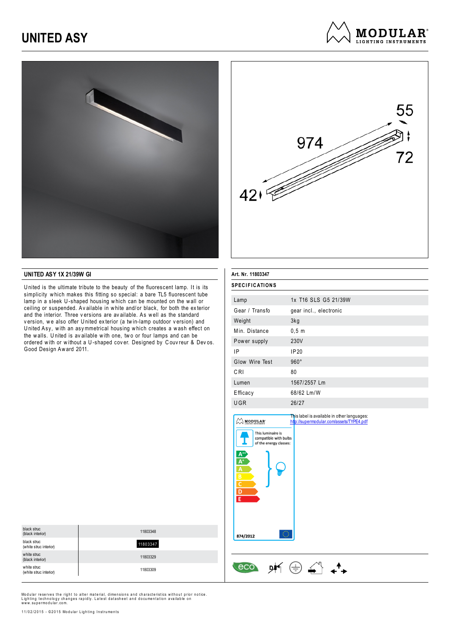## **UNITED ASY**







#### **UNITED ASY 1X 21/39W GI**

U nited is the ultimate tribute to the beauty of the fluorescent lamp. It is its simplicity w hich makes this fitting so special: a bare TL5 fluorescent tube lamp in a sleek U-shaped housing which can be mounted on the wall or ceiling or suspended. Av ailable in w hite and/or black, for both the ex terior and the interior. Three v ersions are av ailable. As w ell as the standard version, we also offer United exterior (a twin-lamp outdoor version) and U nited Asy, w ith an asy mmetrical housing w hich creates a w ash effect on the walls. United is available with one, two or four lamps and can be ordered with or without a U-shaped cover. Designed by Couvreur & Devos. Good Design Aw ard 2011.

| Art. Nr. 11803347     |                                                                                         |  |
|-----------------------|-----------------------------------------------------------------------------------------|--|
| <b>SPECIFICATIONS</b> |                                                                                         |  |
| Lamp                  | 1x T16 SLS G5 21/39W                                                                    |  |
| Gear / Transfo        | gear incl., electronic                                                                  |  |
| Weight                | 3kg                                                                                     |  |
| Min. Distance         | 0, 5, m                                                                                 |  |
| Power supply          | 230V                                                                                    |  |
| ΙP                    | IP20                                                                                    |  |
| Glow Wire Test        | $960^\circ$                                                                             |  |
| C <sub>RI</sub>       | 80                                                                                      |  |
| Lumen                 | 1567/2557 Lm                                                                            |  |
| Efficacy              | 68/62 Lm/W                                                                              |  |
| UGR                   | 26/27                                                                                   |  |
| <b>MODULAR</b>        | This label is available in other languages:<br>http://supermodular.com/assets/TYPE4.pdf |  |

| black struc<br>(black interior)       | 11803348 |
|---------------------------------------|----------|
| black struc<br>(white struc interior) | 11803347 |
| white struc<br>(black interior)       | 11803329 |
| white struc<br>(white struc interior) | 11803309 |



Modular reserves the right to alter material, dimensions and characteristics without prior notice. Lighting technology changes rapidly. Latest datasheet and documentation available on<br>www.supermodular.com.